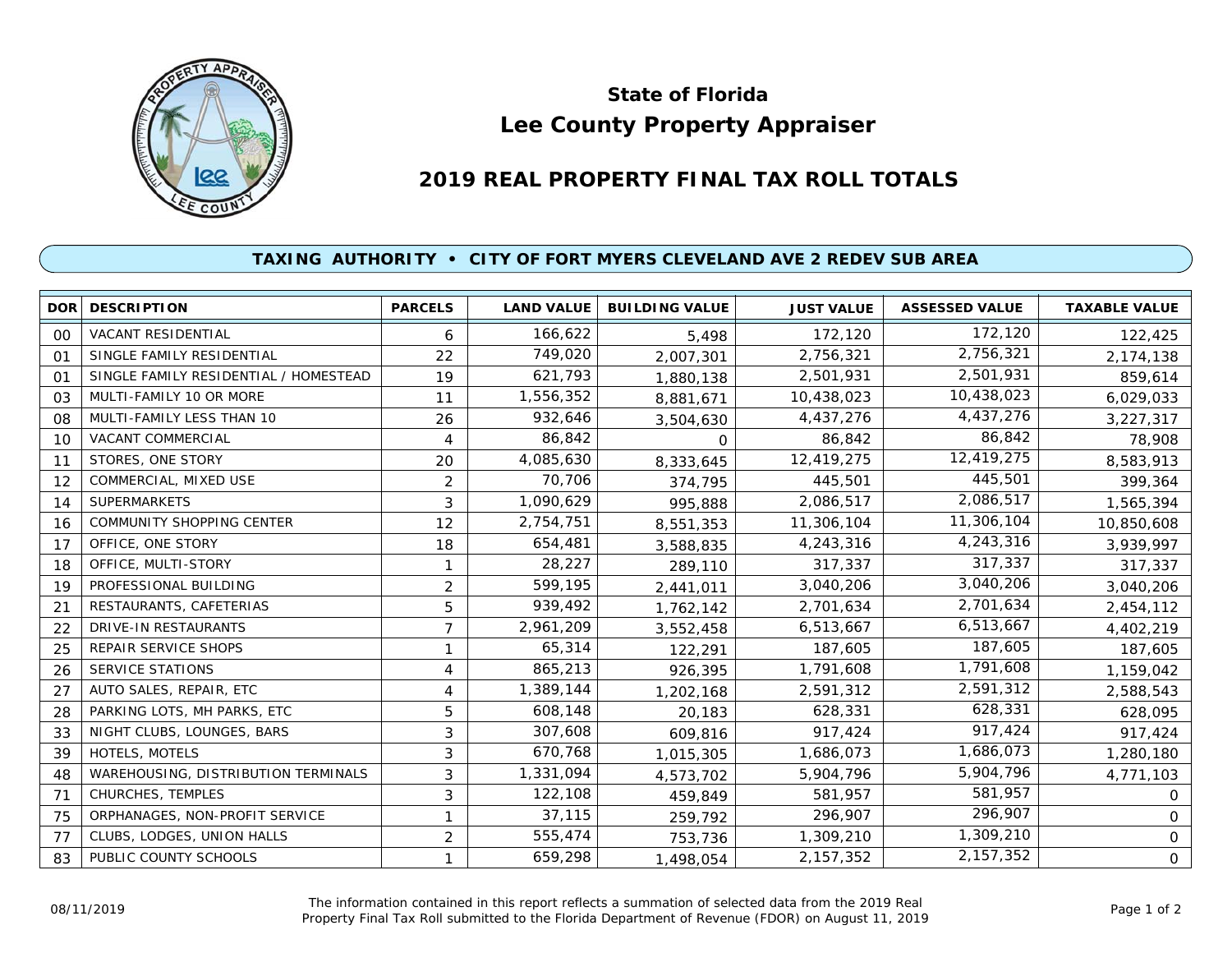

## **Lee County Property Appraiser State of Florida**

## **2019 REAL PROPERTY FINAL TAX ROLL TOTALS**

## **TAXING AUTHORITY • CITY OF FORT MYERS CLEVELAND AVE 2 REDEV SUB AREA**

| <b>DOR</b> | <b>DESCRIPTION</b>                    | <b>PARCELS</b> | <b>LAND VALUE</b> | <b>BUILDING VALUE</b> | <b>JUST VALUE</b> | <b>ASSESSED VALUE</b> | <b>TAXABLE VALUE</b> |
|------------|---------------------------------------|----------------|-------------------|-----------------------|-------------------|-----------------------|----------------------|
| 00         | <b>VACANT RESIDENTIAL</b>             | 6              | 166,622           | 5,498                 | 172,120           | 172,120               | 122,425              |
| 01         | SINGLE FAMILY RESIDENTIAL             | 22             | 749,020           | 2,007,301             | 2,756,321         | 2,756,321             | 2,174,138            |
| 01         | SINGLE FAMILY RESIDENTIAL / HOMESTEAD | 19             | 621,793           | 1,880,138             | 2,501,931         | 2,501,931             | 859,614              |
| 03         | MULTI-FAMILY 10 OR MORE               | 11             | 1,556,352         | 8,881,671             | 10,438,023        | 10,438,023            | 6,029,033            |
| 08         | MULTI-FAMILY LESS THAN 10             | 26             | 932,646           | 3,504,630             | 4,437,276         | 4,437,276             | 3,227,317            |
| 10         | VACANT COMMERCIAL                     | 4              | 86,842            | $\Omega$              | 86,842            | 86,842                | 78,908               |
| 11         | STORES, ONE STORY                     | 20             | 4,085,630         | 8,333,645             | 12,419,275        | 12,419,275            | 8,583,913            |
| 12         | COMMERCIAL, MIXED USE                 | $\overline{2}$ | 70,706            | 374,795               | 445,501           | 445,501               | 399,364              |
| 14         | <b>SUPERMARKETS</b>                   | 3              | 1,090,629         | 995,888               | 2,086,517         | 2,086,517             | 1,565,394            |
| 16         | <b>COMMUNITY SHOPPING CENTER</b>      | 12             | 2,754,751         | 8,551,353             | 11,306,104        | 11,306,104            | 10,850,608           |
| 17         | OFFICE, ONE STORY                     | 18             | 654,481           | 3,588,835             | 4,243,316         | 4,243,316             | 3,939,997            |
| 18         | OFFICE, MULTI-STORY                   | 1              | 28,227            | 289,110               | 317,337           | 317,337               | 317,337              |
| 19         | PROFESSIONAL BUILDING                 | $\overline{2}$ | 599,195           | 2,441,011             | 3,040,206         | 3,040,206             | 3,040,206            |
| 21         | RESTAURANTS, CAFETERIAS               | 5              | 939,492           | 1,762,142             | 2,701,634         | 2,701,634             | 2,454,112            |
| 22         | DRIVE-IN RESTAURANTS                  | 7              | 2,961,209         | 3,552,458             | 6,513,667         | 6,513,667             | 4,402,219            |
| 25         | REPAIR SERVICE SHOPS                  | 1              | 65,314            | 122,291               | 187,605           | 187,605               | 187,605              |
| 26         | <b>SERVICE STATIONS</b>               | 4              | 865,213           | 926,395               | 1,791,608         | 1,791,608             | 1,159,042            |
| 27         | AUTO SALES, REPAIR, ETC               | 4              | 1,389,144         | 1,202,168             | 2,591,312         | 2,591,312             | 2,588,543            |
| 28         | PARKING LOTS, MH PARKS, ETC           | 5              | 608,148           | 20,183                | 628,331           | 628,331               | 628,095              |
| 33         | NIGHT CLUBS, LOUNGES, BARS            | 3              | 307,608           | 609,816               | 917,424           | 917,424               | 917,424              |
| 39         | HOTELS, MOTELS                        | 3              | 670,768           | 1,015,305             | 1,686,073         | 1,686,073             | 1,280,180            |
| 48         | WAREHOUSING, DISTRIBUTION TERMINALS   | 3              | 1,331,094         | 4,573,702             | 5,904,796         | 5,904,796             | 4,771,103            |
| 71         | CHURCHES, TEMPLES                     | 3              | 122,108           | 459,849               | 581,957           | 581,957               | 0                    |
| 75         | ORPHANAGES, NON-PROFIT SERVICE        |                | 37,115            | 259,792               | 296,907           | 296,907               | 0                    |
| 77         | CLUBS, LODGES, UNION HALLS            | $\overline{2}$ | 555,474           | 753,736               | 1,309,210         | 1,309,210             | 0                    |
| 83         | PUBLIC COUNTY SCHOOLS                 |                | 659,298           | 1,498,054             | 2,157,352         | 2,157,352             | 0                    |